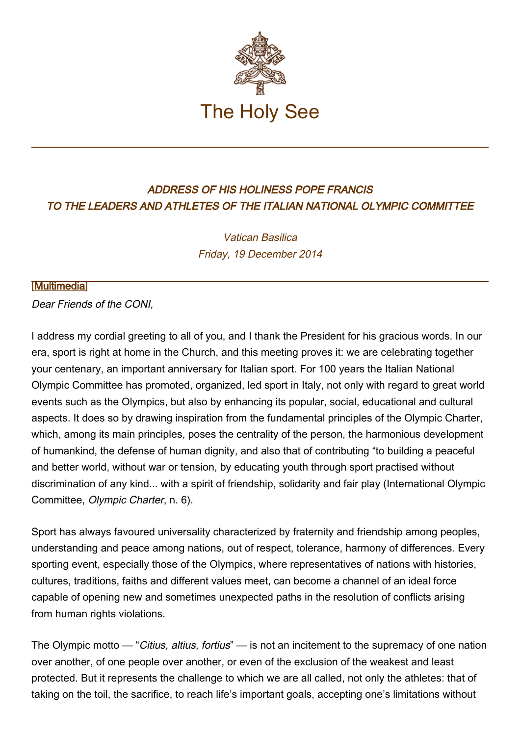

## ADDRESS OF HIS HOLINESS POPE FRANCIS TO THE LEADERS AND ATHLETES OF THE ITALIAN NATIONAL OLYMPIC COMMITTEE

Vatican Basilica Friday, 19 December 2014

## [\[Multimedia](http://w2.vatican.va/content/francesco/en/events/event.dir.html/content/vaticanevents/en/2014/12/19/coni.html)]

Dear Friends of the CONI,

I address my cordial greeting to all of you, and I thank the President for his gracious words. In our era, sport is right at home in the Church, and this meeting proves it: we are celebrating together your centenary, an important anniversary for Italian sport. For 100 years the Italian National Olympic Committee has promoted, organized, led sport in Italy, not only with regard to great world events such as the Olympics, but also by enhancing its popular, social, educational and cultural aspects. It does so by drawing inspiration from the fundamental principles of the Olympic Charter, which, among its main principles, poses the centrality of the person, the harmonious development of humankind, the defense of human dignity, and also that of contributing "to building a peaceful and better world, without war or tension, by educating youth through sport practised without discrimination of any kind... with a spirit of friendship, solidarity and fair play (International Olympic Committee, Olympic Charter, n. 6).

Sport has always favoured universality characterized by fraternity and friendship among peoples, understanding and peace among nations, out of respect, tolerance, harmony of differences. Every sporting event, especially those of the Olympics, where representatives of nations with histories, cultures, traditions, faiths and different values meet, can become a channel of an ideal force capable of opening new and sometimes unexpected paths in the resolution of conflicts arising from human rights violations.

The Olympic motto — "Citius, altius, fortius" — is not an incitement to the supremacy of one nation over another, of one people over another, or even of the exclusion of the weakest and least protected. But it represents the challenge to which we are all called, not only the athletes: that of taking on the toil, the sacrifice, to reach life's important goals, accepting one's limitations without